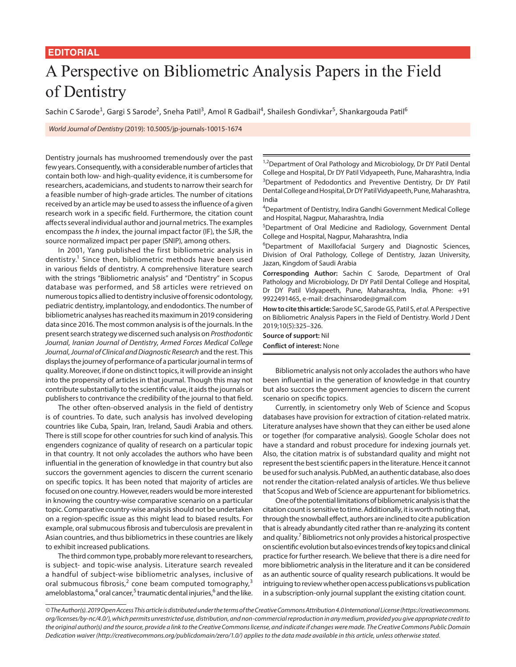## **EDITORIAL**

## A Perspective on Bibliometric Analysis Papers in the Field of Dentistry

Sachin C Sarode<sup>1</sup>, Gargi S Sarode<sup>2</sup>, Sneha Patil<sup>3</sup>, Amol R Gadbail<sup>4</sup>, Shailesh Gondivkar<sup>5</sup>, Shankargouda Patil<sup>6</sup>

*World Journal of Dentistry* (2019): 10.5005/jp-journals-10015-1674

Dentistry journals has mushroomed tremendously over the past few years. Consequently, with a considerable number of articles that contain both low- and high-quality evidence, it is cumbersome for researchers, academicians, and students to narrow their search for a feasible number of high-grade articles. The number of citations received by an article may be used to assess the influence of a given research work in a specific field. Furthermore, the citation count affects several individual author and journal metrics. The examples encompass the *h* index, the journal impact factor (IF), the SJR, the source normalized impact per paper (SNIP), among others.

In 2001, Yang published the first bibliometric analysis in dentistry.<sup>1</sup> Since then, bibliometric methods have been used in various fields of dentistry. A comprehensive literature search with the strings "Bibliometric analysis" and "Dentistry" in Scopus database was performed, and 58 articles were retrieved on numerous topics allied to dentistry inclusive of forensic odontology, pediatric dentistry, implantology, and endodontics. The number of bibliometric analyses has reached its maximum in 2019 considering data since 2016. The most common analysis is of the journals. In the present search strategy we discerned such analysis on *Prosthodontic Journal*, *Iranian Journal of Dentistry*, *Armed Forces Medical College Journal*, *Journal of Clinical and Diagnostic Research* and the rest. This displays the journey of performance of a particular journal in terms of quality. Moreover, if done on distinct topics, it will provide an insight into the propensity of articles in that journal. Though this may not contribute substantially to the scientific value, it aids the journals or publishers to contrivance the credibility of the journal to that field.

The other often-observed analysis in the field of dentistry is of countries. To date, such analysis has involved developing countries like Cuba, Spain, Iran, Ireland, Saudi Arabia and others. There is still scope for other countries for such kind of analysis. This engenders cognizance of quality of research on a particular topic in that country. It not only accolades the authors who have been influential in the generation of knowledge in that country but also succors the government agencies to discern the current scenario on specific topics. It has been noted that majority of articles are focused on one country. However, readers would be more interested in knowing the country-wise comparative scenario on a particular topic. Comparative country-wise analysis should not be undertaken on a region-specific issue as this might lead to biased results. For example, oral submucous fibrosis and tuberculosis are prevalent in Asian countries, and thus bibliometrics in these countries are likely to exhibit increased publications.

The third common type, probably more relevant to researchers, is subject- and topic-wise analysis. Literature search revealed a handful of subject-wise bibliometric analyses, inclusive of oral submucous fibrosis,<sup>2</sup> cone beam computed tomography,<sup>3</sup> ameloblastoma,<sup>4</sup> oral cancer,<sup>5</sup> traumatic dental injuries,<sup>6</sup> and the like.

<sup>1,2</sup>Department of Oral Pathology and Microbiology, Dr DY Patil Dental College and Hospital, Dr DY Patil Vidyapeeth, Pune, Maharashtra, India <sup>3</sup>Department of Pedodontics and Preventive Dentistry, Dr DY Patil Dental College and Hospital, Dr DY Patil Vidyapeeth, Pune, Maharashtra, India

4 Department of Dentistry, Indira Gandhi Government Medical College and Hospital, Nagpur, Maharashtra, India

<sup>5</sup>Department of Oral Medicine and Radiology, Government Dental College and Hospital, Nagpur, Maharashtra, India

<sup>6</sup>Department of Maxillofacial Surgery and Diagnostic Sciences, Division of Oral Pathology, College of Dentistry, Jazan University, Jazan, Kingdom of Saudi Arabia

**Corresponding Author:** Sachin C Sarode, Department of Oral Pathology and Microbiology, Dr DY Patil Dental College and Hospital, Dr DY Patil Vidyapeeth, Pune, Maharashtra, India, Phone: +91 9922491465, e-mail: drsachinsarode@gmail.com

**How to cite this article:** Sarode SC, Sarode GS, Patil S, *et al.* A Perspective on Bibliometric Analysis Papers in the Field of Dentistry. World J Dent 2019;10(5):325–326.

**Source of support:** Nil **Conflict of interest:** None

Bibliometric analysis not only accolades the authors who have been influential in the generation of knowledge in that country but also succors the government agencies to discern the current scenario on specific topics.

Currently, in scientometry only Web of Science and Scopus databases have provision for extraction of citation-related matrix. Literature analyses have shown that they can either be used alone or together (for comparative analysis). Google Scholar does not have a standard and robust procedure for indexing journals yet. Also, the citation matrix is of substandard quality and might not represent the best scientific papers in the literature. Hence it cannot be used for such analysis. PubMed, an authentic database, also does not render the citation-related analysis of articles. We thus believe that Scopus and Web of Science are appurtenant for bibliometrics.

One of the potential limitations of bibliometric analysis is that the citation count is sensitive to time. Additionally, it is worth noting that, through the snowball effect, authors are inclined to cite a publication that is already abundantly cited rather than re-analyzing its content and quality.<sup>7</sup> Bibliometrics not only provides a historical prospective on scientific evolution but also evinces trends of key topics and clinical practice for further research. We believe that there is a dire need for more bibliometric analysis in the literature and it can be considered as an authentic source of quality research publications. It would be intriguing to review whether open access publications vs publication in a subscription-only journal supplant the existing citation count.

*<sup>©</sup> The Author(s). 2019 Open Access This article is distributed under the terms of the Creative Commons Attribution 4.0 International License (https://creativecommons. org/licenses/by-nc/4.0/), which permits unrestricted use, distribution, and non-commercial reproduction in any medium, provided you give appropriate credit to the original author(s) and the source, provide a link to the Creative Commons license, and indicate if changes were made. The Creative Commons Public Domain Dedication waiver (http://creativecommons.org/publicdomain/zero/1.0/) applies to the data made available in this article, unless otherwise stated.*